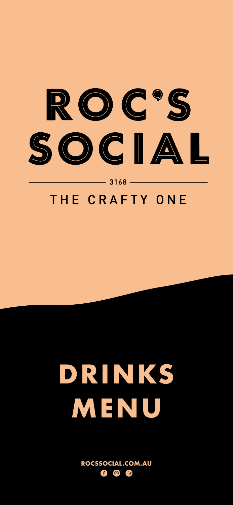

 $-3168-$ 

# THE CRAFTY ONE



# **DRINKS**

# **MENU**

#### **ROCSSOCIAL.COM.AU**  $\left( \begin{matrix} \equiv \\ \equiv \end{matrix} \right)$  $\mathbf{f}$  $\odot$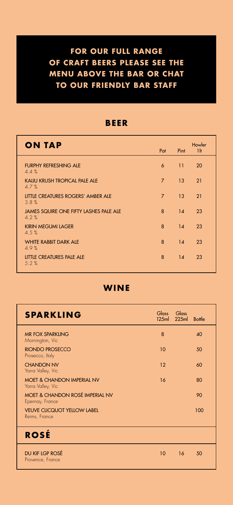**FOR OUR FULL RANGE OF CRAFT BEERS PLEASE SEE THE MENU ABOVE THE BAR OR CHAT TO OUR FRIENDLY BAR STAFF** 

| SPARKLING                                                  | Glass Glass | 125ml 225ml Bottle |     |
|------------------------------------------------------------|-------------|--------------------|-----|
| <b>MR FOX SPARKLING</b><br>Mornington, Vic                 | 8           |                    | 40  |
| <b>RIONDO PROSECCO</b><br>Prosecco, Italy                  | 10          |                    | 50  |
| <b>CHANDON NV</b><br>Yarra Valley, Vic                     | 12          |                    | 60  |
| <b>MOET &amp; CHANDON IMPERIAL NV</b><br>Yarra Valley, Vic | 16          |                    | 80  |
| MOET & CHANDON ROSÉ IMPERIAL NV<br>Epernay, France         |             |                    | 90  |
| <b>VEUVE CLICQUOT YELLOW LABEL</b><br>Reims, France        |             |                    | 100 |
| <b>ROSĖ</b>                                                |             |                    |     |
| DU KIF LGP ROSÉ<br>Provence, France                        | 10          | 16                 | 50  |

| <b>ON TAP</b>                                   | Pot            | Pint                 | Howler<br>1 <sup>h</sup> |
|-------------------------------------------------|----------------|----------------------|--------------------------|
| <b>FURPHY REFRESHING ALE</b><br>4.4%            |                | $6 \qquad 11 \qquad$ | 20                       |
| <b>KAIJU KRUSH TROPICAL PALE ALE</b><br>$A$ 7 % | $\blacksquare$ | 13 <sup>°</sup>      | 21                       |

| 4.7/0                                                    |                |    |    |  |
|----------------------------------------------------------|----------------|----|----|--|
| LITTLE CREATURES ROGERS' AMBER ALE<br>3.8%               | $\overline{7}$ | 13 | 21 |  |
| <b>JAMES SQUIRE ONE FIFTY LASHES PALE ALE</b><br>$4.2\%$ | 8              | 14 | 23 |  |
| <b>KIRIN MEGUMI LAGER</b><br>$4.5\%$                     | 8              | 14 | 23 |  |
| <b>WHITE RABBIT DARK ALE</b><br>4.9%                     | 8              | 14 | 23 |  |
| LITTLE CREATURES PALE ALE<br>5.2%                        | 8              | 14 | 23 |  |
|                                                          |                |    |    |  |

### **BEER**

**WINE**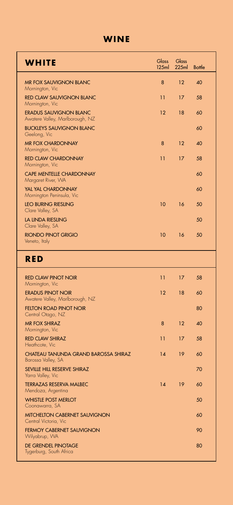# **WINE**

| Yarra Valley, Vic |  |  |  |  |
|-------------------|--|--|--|--|
|-------------------|--|--|--|--|

| <b>TERRAZAS RESERVA MALBEC</b><br>Mendoza, Argentina          | 14 | 19 | 60 |
|---------------------------------------------------------------|----|----|----|
| <b>WHISTLE POST MERLOT</b><br>Coonawarra, SA                  |    |    | 50 |
| <b>MITCHELTON CABERNET SAUVIGNON</b><br>Central Victoria, Vic |    |    | 60 |
| <b>FERMOY CABERNET SAUVIGNON</b><br>Wilyabrup, WA             |    |    | 90 |
| DE GRENDEL PINOTAGE<br>Tygerburg, South Africa                |    |    | 80 |

| <b>WHITE</b>                                                     | <b>Glass</b>    | Glass<br>$125ml$ $225ml$ | <b>Bottle</b> |
|------------------------------------------------------------------|-----------------|--------------------------|---------------|
| <b>MR FOX SAUVIGNON BLANC</b><br>Mornington, Vic                 | 8               | 12                       | 40            |
| <b>RED CLAW SAUVIGNON BLANC</b><br>Mornington, Vic               | 11              | 17                       | 58            |
| <b>ERADUS SAUVIGNON BLANC</b><br>Awatere Valley, Marlborough, NZ | 12 <sup>°</sup> | 18                       | 60            |
| <b>BUCKLEYS SAUVIGNON BLANC</b><br>Geelong, Vic                  |                 |                          | 60            |
| <b>MR FOX CHARDONNAY</b><br>Mornington, Vic                      | 8               | 12                       |               |
| <b>RED CLAW CHARDONNAY</b><br>Mornington, Vic                    | 11              | 17                       | 58            |
| <b>CAPE MENTELLE CHARDONNAY</b><br>Margaret River, WA            |                 |                          | 60            |
| <b>YAL YAL CHARDONNAY</b><br>Mornington Peninsula, Vic           |                 |                          | 60            |
| <b>LEO BURING RIESLING</b><br>Clare Valley, SA                   | 10              | 16                       | 50            |
| LA LINDA RIESLING<br>Clare Valley, SA                            |                 |                          | 50            |
| RIONDO PINOT GRIGIO<br>Veneto, Italy                             | 10              | 16                       | 50            |
| RED                                                              |                 |                          |               |
| <b>RED CLAW PINOT NOIR</b><br>Mornington, Vic                    | 11              | 17                       | 58            |
| <b>ERADUS PINOT NOIR</b><br>Awatere Valley, Marlborough, NZ      | 12 <sup>°</sup> | 18                       | 60            |
| <b>FELTON ROAD PINOT NOIR</b><br>Central Otago, NZ               |                 |                          | 80            |
| <b>MR FOX SHIRAZ</b><br>Mornington, Vic                          | 8               | 12                       | 40            |
| <b>RED CLAW SHIRAZ</b><br>Heathcote, Vic                         | 11              | 17                       | 58            |
| CHATEAU TANUNDA GRAND BAROSSA SHIRAZ<br>Barossa Valley, SA       | 14              | 19                       | 60            |
| SEVILLE HILL RESERVE SHIRAZ                                      |                 |                          | 70            |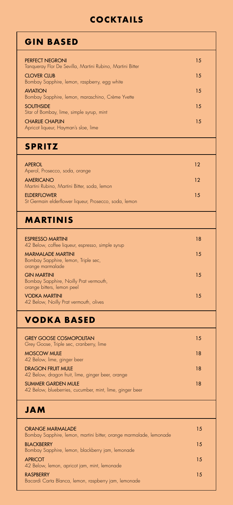# **COCKTAILS**

| <b>GIN BASED</b>                                                                    |    |
|-------------------------------------------------------------------------------------|----|
| <b>PERFECT NEGRONI</b><br>Tanqueray Flor De Sevilla, Martini Rubino, Martini Bitter | 15 |
| <b>CLOVER CLUB</b><br>Bombay Sapphire, lemon, raspberry, egg white                  | 15 |
| <b>AVIATION</b><br>Bombay Sapphire, lemon, maraschino, Crème Yvette                 | 15 |
| <b>SOUTHSIDE</b><br>Star of Bombay, lime, simple syrup, mint                        | 15 |
| <b>CHARLIE CHAPLIN</b><br>Apricot liqueur, Hayman's sloe, lime                      | 15 |
| <b>SPRITZ</b>                                                                       |    |
| <b>APEROL</b><br>Aperol, Prosecco, soda, orange                                     | 12 |
| AMERICANO                                                                           | 12 |

Martini Rubino, Martini Bitter, soda, Jemon

| TVIGHTH RODHIO, TVIGHTH DHICI, JOUU, ICHIOH<br><b>ELDERFLOWER</b><br>St Germain elderflower liqueur, Prosecco, soda, lemon | 15 |
|----------------------------------------------------------------------------------------------------------------------------|----|
| <b>MARTINIS</b>                                                                                                            |    |
| <b>ESPRESSO MARTINI</b><br>42 Below, coffee liqueur, espresso, simple syrup                                                | 18 |
| <b>MARMALADE MARTINI</b><br>Bombay Sapphire, lemon, Triple sec,<br>orange marmalade                                        | 15 |
| <b>GIN MARTINI</b><br>Bombay Sapphire, Noilly Prat vermouth,<br>orange bitters, lemon peel                                 | 15 |
| <b>VODKA MARTINI</b><br>42 Below, Noilly Prat vermouth, olives                                                             | 15 |
| <b>VODKA BASED</b>                                                                                                         |    |
| <b>GREY GOOSE COSMOPOLITAN</b><br>Grey Goose, Triple sec, cranberry, lime                                                  | 15 |
| <b>MOSCOW MULE</b><br>42 Below, lime, ginger beer                                                                          | 18 |
| <b>DRAGON FRUIT MULE</b>                                                                                                   | 18 |

42 Below, dragon fruit, lime, ginger beer, orange

### SUMMER GARDEN MULE

42 Below, blueberries, cucumber, mint, lime, ginger beer

### **JAM**

| <b>ORANGE MARMALADE</b><br>Bombay Sapphire, lemon, martini bitter, orange marmalade, lemonade | 15  |
|-----------------------------------------------------------------------------------------------|-----|
| <b>BLACKBERRY</b><br>Bombay Sapphire, lemon, blackberry jam, lemonade                         | 1.5 |
| <b>APRICOT</b><br>42 Below, lemon, apricot jam, mint, lemonade                                | 15  |
| <b>RASPBERRY</b><br>Bacardi Carta Blanca, lemon, raspberry jam, lemonade                      | 1.5 |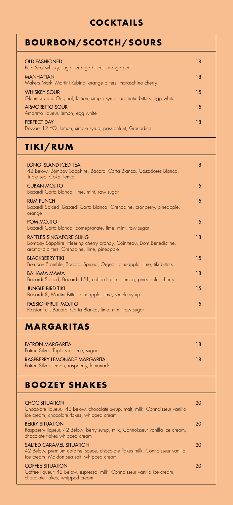# **COCKTAILS**

## **BOOZEY SHAKES**

### CHOC SITUATION

Chocolate liqueur, 42 Below, chocolate syrup, malt, milk, Connoisseur vanilla ice cream, chocolate flakes, whipped cream

20

### BERRY SITUATION

Raspberry liqueur, 42 Below, berry syrup, milk, Connoisseur vanilla ice cream, chocolate flakes whipped cream

20

### SALTED CARAMEL SITUATION

42 Below, premium caramel sauce, chocolate flakes milk, Connoisseur vanilla ice cream, Maldon sea salt, whipped cream

20

### COFFEE SITUATION

Coffee liqueur, 42 Below, espresso, milk, Connoisseur vanilla ice cream, chocolate flakes, whipped cream

20

| <b>BOURBON/SCOTCH/SOURS</b>                                                                                                  |    |
|------------------------------------------------------------------------------------------------------------------------------|----|
| <b>OLD FASHIONED</b><br>Pure Scot whisky, sugar, orange bitters, orange peel                                                 | 18 |
| <b>MANHATTAN</b><br>Makers Mark, Martini Rubino, orange bitters, maraschino cherry                                           | 18 |
| <b>WHISKEY SOUR</b><br>Glenmorangie Original, lemon, simple syrup, aromatic bitters, egg white                               | 15 |
| <b>ARMORETTO SOUR</b><br>Amoretto liqueur, lemon, egg white                                                                  | 15 |
| <b>PERFECT DAY</b><br>Dewars 12 YO, lemon, simple syrup, passionfruit, Grenadine                                             | 18 |
| TIKI/RUM                                                                                                                     |    |
| <b>LONG ISLAND ICED TEA</b><br>42 Below, Bombay Sapphire, Bacardi Carta Blanca, Cazadores Blanco,<br>Triple sec, Coke, lemon | 18 |

#### $C$ URANI MOJITO

 $1<sub>5</sub>$ 

| CUDAIN MUJITU<br>Bacardi Carta Blanca, lime, mint, raw sugar                                                                                          | I J |
|-------------------------------------------------------------------------------------------------------------------------------------------------------|-----|
| <b>RUM PUNCH</b><br>Bacardi Spiced, Bacardi Carta Blanca, Grenadine, cranberry, pineapple,<br>orange                                                  | 15  |
| POM MOJITO<br>Bacardi Carta Blanca, pomegranate, lime, mint, raw sugar                                                                                | 15  |
| <b>RAFFLES SINGAPORE SLING</b><br>Bombay Sapphire, Heering cherry brandy, Cointreau, Dom Benedictine,<br>aromatic bitters, Grenadine, lime, pineapple | 18  |
| <b>BLACKBERRY TIKI</b><br>Bombay Bramble, Bacardi Spiced, Orgeat, pineapple, lime, tiki bitters                                                       | 15  |
| <b>BAHAMA MAMA</b><br>Bacardi Spiced, Bacardi 151, coffee liqueur, lemon, pineapple, cherry                                                           | 18  |
| <b>JUNGLE BIRD TIKI</b><br>Bacardi 8, Martini Bitter, pineapple, lime, simple syrup                                                                   | 15  |
| <b>PASSIONFRUIT MOJITO</b><br>Passionfruit, Bacardi Carta Blanca, lime, mint, raw sugar                                                               | 15  |
| <b>MARGARITAS</b>                                                                                                                                     |     |
| <b>PATRON MARGARITA</b><br>Patron Silver, Triple sec, lime, sugar                                                                                     | 18  |
| RASPBERRY LEMONADE MARGARITA<br>Patron Silver, lemon, raspberry, lemonade                                                                             | 18  |